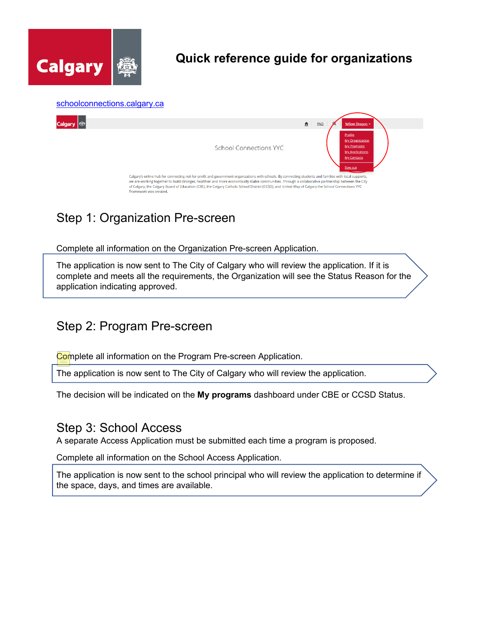

# **Quick reference guide for organizations**



# Step 1: Organization Pre-screen

Complete all information on the Organization Pre-screen Application.

The application is now sent to The City of Calgary who will review the application. If it is complete and meets all the requirements, the Organization will see the Status Reason for the application indicating approved.

#### Step 2: Program Pre-screen

Complete all information on the Program Pre-screen Application.

The application is now sent to The City of Calgary who will review the application.

The decision will be indicated on the **My programs** dashboard under CBE or CCSD Status.

### Step 3: School Access

A separate Access Application must be submitted each time a program is proposed.

Complete all information on the School Access Application.

The application is now sent to the school principal who will review the application to determine if the space, days, and times are available.